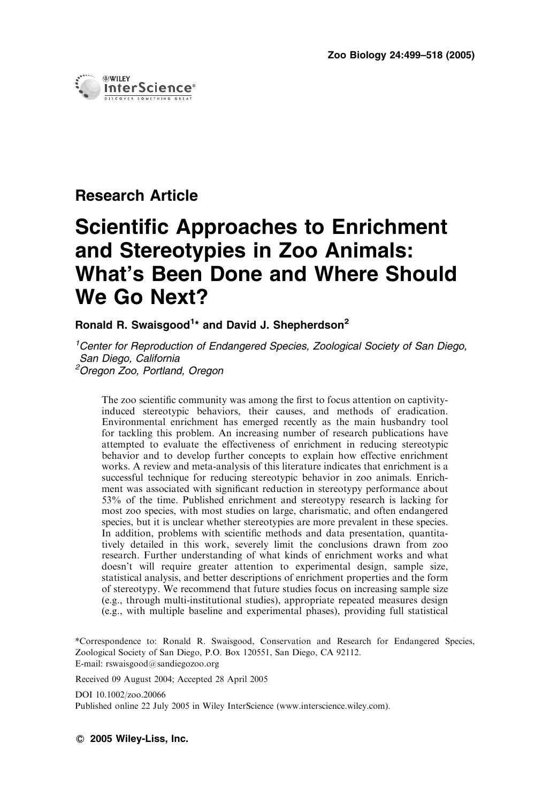

# Research Article

# Scientific Approaches to Enrichment and Stereotypies in Zoo Animals: What's Been Done and Where Should We Go Next?

Ronald R. Swaisgood<sup>1</sup>\* and David J. Shepherdson<sup>2</sup>

<sup>1</sup> Center for Reproduction of Endangered Species, Zoological Society of San Diego, San Diego, California <sup>2</sup> Oregon Zoo, Portland, Oregon

The zoo scientific community was among the first to focus attention on captivityinduced stereotypic behaviors, their causes, and methods of eradication. Environmental enrichment has emerged recently as the main husbandry tool for tackling this problem. An increasing number of research publications have attempted to evaluate the effectiveness of enrichment in reducing stereotypic behavior and to develop further concepts to explain how effective enrichment works. A review and meta-analysis of this literature indicates that enrichment is a successful technique for reducing stereotypic behavior in zoo animals. Enrichment was associated with significant reduction in stereotypy performance about 53% of the time. Published enrichment and stereotypy research is lacking for most zoo species, with most studies on large, charismatic, and often endangered species, but it is unclear whether stereotypies are more prevalent in these species. In addition, problems with scientific methods and data presentation, quantitatively detailed in this work, severely limit the conclusions drawn from zoo research. Further understanding of what kinds of enrichment works and what doesn't will require greater attention to experimental design, sample size, statistical analysis, and better descriptions of enrichment properties and the form of stereotypy. We recommend that future studies focus on increasing sample size (e.g., through multi-institutional studies), appropriate repeated measures design (e.g., with multiple baseline and experimental phases), providing full statistical

\*Correspondence to: Ronald R. Swaisgood, Conservation and Research for Endangered Species, Zoological Society of San Diego, P.O. Box 120551, San Diego, CA 92112. E-mail: rswaisgood@sandiegozoo.org

Received 09 August 2004; Accepted 28 April 2005

DOI 10.1002/zoo.20066

Published online 22 July 2005 in Wiley InterScience (www.interscience.wiley.com).

 $©$  2005 Wiley-Liss, Inc.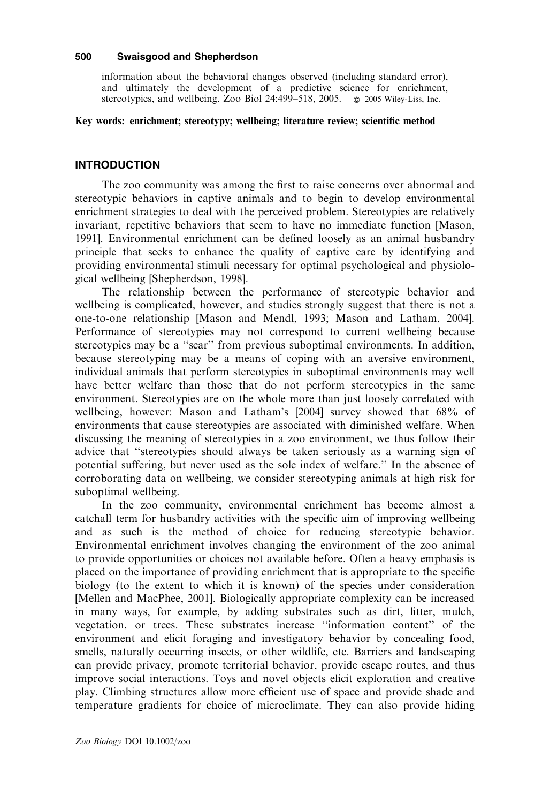information about the behavioral changes observed (including standard error), and ultimately the development of a predictive science for enrichment, stereotypies, and wellbeing. Zoo Biol 24:499-518, 2005.  $\circ$  2005 Wiley-Liss, Inc.

#### Key words: enrichment; stereotypy; wellbeing; literature review; scientific method

#### INTRODUCTION

The zoo community was among the first to raise concerns over abnormal and stereotypic behaviors in captive animals and to begin to develop environmental enrichment strategies to deal with the perceived problem. Stereotypies are relatively invariant, repetitive behaviors that seem to have no immediate function [Mason, 1991]. Environmental enrichment can be defined loosely as an animal husbandry principle that seeks to enhance the quality of captive care by identifying and providing environmental stimuli necessary for optimal psychological and physiological wellbeing [Shepherdson, 1998].

The relationship between the performance of stereotypic behavior and wellbeing is complicated, however, and studies strongly suggest that there is not a one-to-one relationship [Mason and Mendl, 1993; Mason and Latham, 2004]. Performance of stereotypies may not correspond to current wellbeing because stereotypies may be a ''scar'' from previous suboptimal environments. In addition, because stereotyping may be a means of coping with an aversive environment, individual animals that perform stereotypies in suboptimal environments may well have better welfare than those that do not perform stereotypies in the same environment. Stereotypies are on the whole more than just loosely correlated with wellbeing, however: Mason and Latham's [2004] survey showed that 68% of environments that cause stereotypies are associated with diminished welfare. When discussing the meaning of stereotypies in a zoo environment, we thus follow their advice that ''stereotypies should always be taken seriously as a warning sign of potential suffering, but never used as the sole index of welfare.'' In the absence of corroborating data on wellbeing, we consider stereotyping animals at high risk for suboptimal wellbeing.

In the zoo community, environmental enrichment has become almost a catchall term for husbandry activities with the specific aim of improving wellbeing and as such is the method of choice for reducing stereotypic behavior. Environmental enrichment involves changing the environment of the zoo animal to provide opportunities or choices not available before. Often a heavy emphasis is placed on the importance of providing enrichment that is appropriate to the specific biology (to the extent to which it is known) of the species under consideration [Mellen and MacPhee, 2001]. Biologically appropriate complexity can be increased in many ways, for example, by adding substrates such as dirt, litter, mulch, vegetation, or trees. These substrates increase ''information content'' of the environment and elicit foraging and investigatory behavior by concealing food, smells, naturally occurring insects, or other wildlife, etc. Barriers and landscaping can provide privacy, promote territorial behavior, provide escape routes, and thus improve social interactions. Toys and novel objects elicit exploration and creative play. Climbing structures allow more efficient use of space and provide shade and temperature gradients for choice of microclimate. They can also provide hiding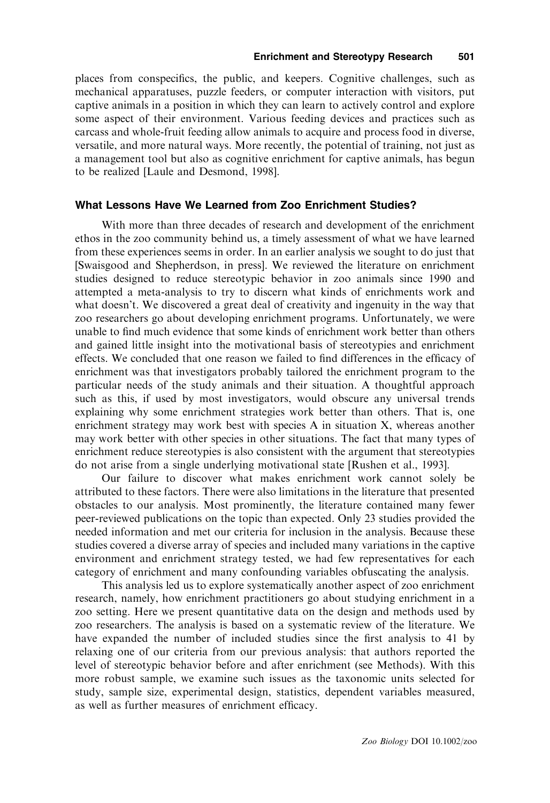places from conspecifics, the public, and keepers. Cognitive challenges, such as mechanical apparatuses, puzzle feeders, or computer interaction with visitors, put captive animals in a position in which they can learn to actively control and explore some aspect of their environment. Various feeding devices and practices such as carcass and whole-fruit feeding allow animals to acquire and process food in diverse, versatile, and more natural ways. More recently, the potential of training, not just as a management tool but also as cognitive enrichment for captive animals, has begun to be realized [Laule and Desmond, 1998].

### What Lessons Have We Learned from Zoo Enrichment Studies?

With more than three decades of research and development of the enrichment ethos in the zoo community behind us, a timely assessment of what we have learned from these experiences seems in order. In an earlier analysis we sought to do just that [Swaisgood and Shepherdson, in press]. We reviewed the literature on enrichment studies designed to reduce stereotypic behavior in zoo animals since 1990 and attempted a meta-analysis to try to discern what kinds of enrichments work and what doesn't. We discovered a great deal of creativity and ingenuity in the way that zoo researchers go about developing enrichment programs. Unfortunately, we were unable to find much evidence that some kinds of enrichment work better than others and gained little insight into the motivational basis of stereotypies and enrichment effects. We concluded that one reason we failed to find differences in the efficacy of enrichment was that investigators probably tailored the enrichment program to the particular needs of the study animals and their situation. A thoughtful approach such as this, if used by most investigators, would obscure any universal trends explaining why some enrichment strategies work better than others. That is, one enrichment strategy may work best with species A in situation X, whereas another may work better with other species in other situations. The fact that many types of enrichment reduce stereotypies is also consistent with the argument that stereotypies do not arise from a single underlying motivational state [Rushen et al., 1993].

Our failure to discover what makes enrichment work cannot solely be attributed to these factors. There were also limitations in the literature that presented obstacles to our analysis. Most prominently, the literature contained many fewer peer-reviewed publications on the topic than expected. Only 23 studies provided the needed information and met our criteria for inclusion in the analysis. Because these studies covered a diverse array of species and included many variations in the captive environment and enrichment strategy tested, we had few representatives for each category of enrichment and many confounding variables obfuscating the analysis.

This analysis led us to explore systematically another aspect of zoo enrichment research, namely, how enrichment practitioners go about studying enrichment in a zoo setting. Here we present quantitative data on the design and methods used by zoo researchers. The analysis is based on a systematic review of the literature. We have expanded the number of included studies since the first analysis to 41 by relaxing one of our criteria from our previous analysis: that authors reported the level of stereotypic behavior before and after enrichment (see Methods). With this more robust sample, we examine such issues as the taxonomic units selected for study, sample size, experimental design, statistics, dependent variables measured, as well as further measures of enrichment efficacy.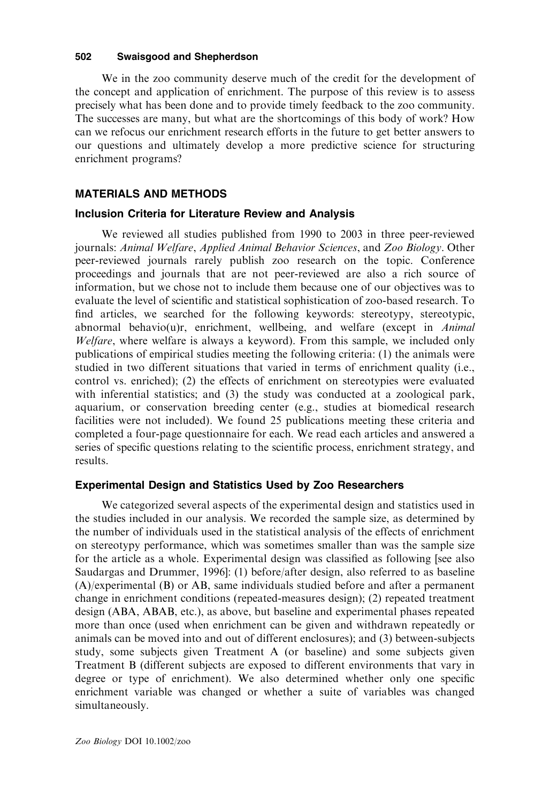We in the zoo community deserve much of the credit for the development of the concept and application of enrichment. The purpose of this review is to assess precisely what has been done and to provide timely feedback to the zoo community. The successes are many, but what are the shortcomings of this body of work? How can we refocus our enrichment research efforts in the future to get better answers to our questions and ultimately develop a more predictive science for structuring enrichment programs?

# MATERIALS AND METHODS

# Inclusion Criteria for Literature Review and Analysis

We reviewed all studies published from 1990 to 2003 in three peer-reviewed journals: Animal Welfare, Applied Animal Behavior Sciences, and Zoo Biology. Other peer-reviewed journals rarely publish zoo research on the topic. Conference proceedings and journals that are not peer-reviewed are also a rich source of information, but we chose not to include them because one of our objectives was to evaluate the level of scientific and statistical sophistication of zoo-based research. To find articles, we searched for the following keywords: stereotypy, stereotypic, abnormal behavio(u)r, enrichment, wellbeing, and welfare (except in Animal Welfare, where welfare is always a keyword). From this sample, we included only publications of empirical studies meeting the following criteria: (1) the animals were studied in two different situations that varied in terms of enrichment quality (i.e., control vs. enriched); (2) the effects of enrichment on stereotypies were evaluated with inferential statistics; and (3) the study was conducted at a zoological park, aquarium, or conservation breeding center (e.g., studies at biomedical research facilities were not included). We found 25 publications meeting these criteria and completed a four-page questionnaire for each. We read each articles and answered a series of specific questions relating to the scientific process, enrichment strategy, and results.

# Experimental Design and Statistics Used by Zoo Researchers

We categorized several aspects of the experimental design and statistics used in the studies included in our analysis. We recorded the sample size, as determined by the number of individuals used in the statistical analysis of the effects of enrichment on stereotypy performance, which was sometimes smaller than was the sample size for the article as a whole. Experimental design was classified as following [see also Saudargas and Drummer, 1996]: (1) before/after design, also referred to as baseline (A)/experimental (B) or AB, same individuals studied before and after a permanent change in enrichment conditions (repeated-measures design); (2) repeated treatment design (ABA, ABAB, etc.), as above, but baseline and experimental phases repeated more than once (used when enrichment can be given and withdrawn repeatedly or animals can be moved into and out of different enclosures); and (3) between-subjects study, some subjects given Treatment A (or baseline) and some subjects given Treatment B (different subjects are exposed to different environments that vary in degree or type of enrichment). We also determined whether only one specific enrichment variable was changed or whether a suite of variables was changed simultaneously.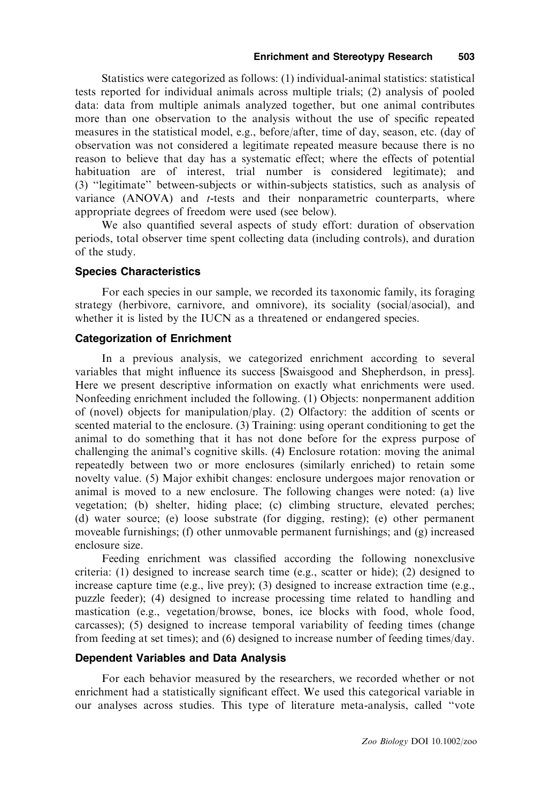Statistics were categorized as follows: (1) individual-animal statistics: statistical tests reported for individual animals across multiple trials; (2) analysis of pooled data: data from multiple animals analyzed together, but one animal contributes more than one observation to the analysis without the use of specific repeated measures in the statistical model, e.g., before/after, time of day, season, etc. (day of observation was not considered a legitimate repeated measure because there is no reason to believe that day has a systematic effect; where the effects of potential habituation are of interest, trial number is considered legitimate); and (3) ''legitimate'' between-subjects or within-subjects statistics, such as analysis of variance (ANOVA) and t-tests and their nonparametric counterparts, where appropriate degrees of freedom were used (see below).

We also quantified several aspects of study effort: duration of observation periods, total observer time spent collecting data (including controls), and duration of the study.

#### Species Characteristics

For each species in our sample, we recorded its taxonomic family, its foraging strategy (herbivore, carnivore, and omnivore), its sociality (social/asocial), and whether it is listed by the IUCN as a threatened or endangered species.

#### Categorization of Enrichment

In a previous analysis, we categorized enrichment according to several variables that might influence its success [Swaisgood and Shepherdson, in press]. Here we present descriptive information on exactly what enrichments were used. Nonfeeding enrichment included the following. (1) Objects: nonpermanent addition of (novel) objects for manipulation/play. (2) Olfactory: the addition of scents or scented material to the enclosure. (3) Training: using operant conditioning to get the animal to do something that it has not done before for the express purpose of challenging the animal's cognitive skills. (4) Enclosure rotation: moving the animal repeatedly between two or more enclosures (similarly enriched) to retain some novelty value. (5) Major exhibit changes: enclosure undergoes major renovation or animal is moved to a new enclosure. The following changes were noted: (a) live vegetation; (b) shelter, hiding place; (c) climbing structure, elevated perches; (d) water source; (e) loose substrate (for digging, resting); (e) other permanent moveable furnishings; (f) other unmovable permanent furnishings; and (g) increased enclosure size.

Feeding enrichment was classified according the following nonexclusive criteria: (1) designed to increase search time (e.g., scatter or hide); (2) designed to increase capture time (e.g., live prey); (3) designed to increase extraction time (e.g., puzzle feeder); (4) designed to increase processing time related to handling and mastication (e.g., vegetation/browse, bones, ice blocks with food, whole food, carcasses); (5) designed to increase temporal variability of feeding times (change from feeding at set times); and (6) designed to increase number of feeding times/day.

#### Dependent Variables and Data Analysis

For each behavior measured by the researchers, we recorded whether or not enrichment had a statistically significant effect. We used this categorical variable in our analyses across studies. This type of literature meta-analysis, called ''vote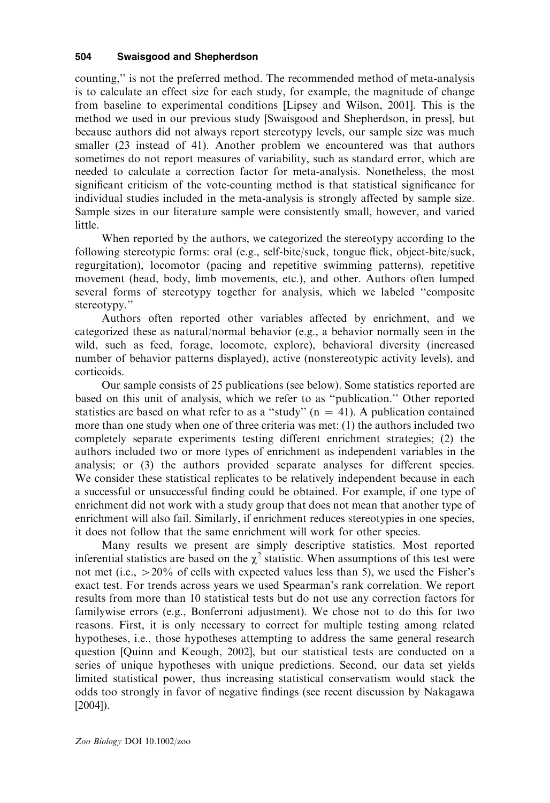counting,'' is not the preferred method. The recommended method of meta-analysis is to calculate an effect size for each study, for example, the magnitude of change from baseline to experimental conditions [Lipsey and Wilson, 2001]. This is the method we used in our previous study [Swaisgood and Shepherdson, in press], but because authors did not always report stereotypy levels, our sample size was much smaller (23 instead of 41). Another problem we encountered was that authors sometimes do not report measures of variability, such as standard error, which are needed to calculate a correction factor for meta-analysis. Nonetheless, the most significant criticism of the vote-counting method is that statistical significance for individual studies included in the meta-analysis is strongly affected by sample size. Sample sizes in our literature sample were consistently small, however, and varied little.

When reported by the authors, we categorized the stereotypy according to the following stereotypic forms: oral (e.g., self-bite/suck, tongue flick, object-bite/suck, regurgitation), locomotor (pacing and repetitive swimming patterns), repetitive movement (head, body, limb movements, etc.), and other. Authors often lumped several forms of stereotypy together for analysis, which we labeled ''composite stereotypy.''

Authors often reported other variables affected by enrichment, and we categorized these as natural/normal behavior (e.g., a behavior normally seen in the wild, such as feed, forage, locomote, explore), behavioral diversity (increased number of behavior patterns displayed), active (nonstereotypic activity levels), and corticoids.

Our sample consists of 25 publications (see below). Some statistics reported are based on this unit of analysis, which we refer to as ''publication.'' Other reported statistics are based on what refer to as a "study" ( $n = 41$ ). A publication contained more than one study when one of three criteria was met: (1) the authors included two completely separate experiments testing different enrichment strategies; (2) the authors included two or more types of enrichment as independent variables in the analysis; or (3) the authors provided separate analyses for different species. We consider these statistical replicates to be relatively independent because in each a successful or unsuccessful finding could be obtained. For example, if one type of enrichment did not work with a study group that does not mean that another type of enrichment will also fail. Similarly, if enrichment reduces stereotypies in one species, it does not follow that the same enrichment will work for other species.

Many results we present are simply descriptive statistics. Most reported inferential statistics are based on the  $\chi^2$  statistic. When assumptions of this test were not met (i.e.,  $>20\%$  of cells with expected values less than 5), we used the Fisher's exact test. For trends across years we used Spearman's rank correlation. We report results from more than 10 statistical tests but do not use any correction factors for familywise errors (e.g., Bonferroni adjustment). We chose not to do this for two reasons. First, it is only necessary to correct for multiple testing among related hypotheses, i.e., those hypotheses attempting to address the same general research question [Quinn and Keough, 2002], but our statistical tests are conducted on a series of unique hypotheses with unique predictions. Second, our data set yields limited statistical power, thus increasing statistical conservatism would stack the odds too strongly in favor of negative findings (see recent discussion by Nakagawa [2004]).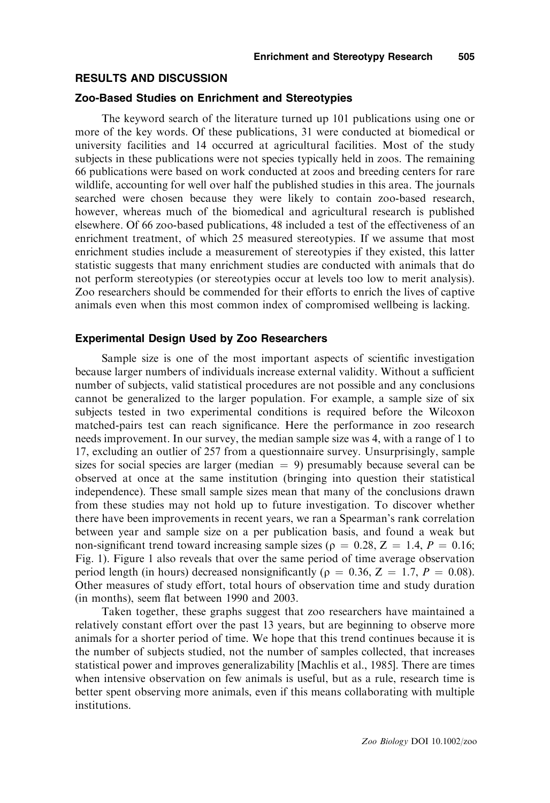#### RESULTS AND DISCUSSION

#### Zoo-Based Studies on Enrichment and Stereotypies

The keyword search of the literature turned up 101 publications using one or more of the key words. Of these publications, 31 were conducted at biomedical or university facilities and 14 occurred at agricultural facilities. Most of the study subjects in these publications were not species typically held in zoos. The remaining 66 publications were based on work conducted at zoos and breeding centers for rare wildlife, accounting for well over half the published studies in this area. The journals searched were chosen because they were likely to contain zoo-based research, however, whereas much of the biomedical and agricultural research is published elsewhere. Of 66 zoo-based publications, 48 included a test of the effectiveness of an enrichment treatment, of which 25 measured stereotypies. If we assume that most enrichment studies include a measurement of stereotypies if they existed, this latter statistic suggests that many enrichment studies are conducted with animals that do not perform stereotypies (or stereotypies occur at levels too low to merit analysis). Zoo researchers should be commended for their efforts to enrich the lives of captive animals even when this most common index of compromised wellbeing is lacking.

### Experimental Design Used by Zoo Researchers

Sample size is one of the most important aspects of scientific investigation because larger numbers of individuals increase external validity. Without a sufficient number of subjects, valid statistical procedures are not possible and any conclusions cannot be generalized to the larger population. For example, a sample size of six subjects tested in two experimental conditions is required before the Wilcoxon matched-pairs test can reach significance. Here the performance in zoo research needs improvement. In our survey, the median sample size was 4, with a range of 1 to 17, excluding an outlier of 257 from a questionnaire survey. Unsurprisingly, sample sizes for social species are larger (median  $= 9$ ) presumably because several can be observed at once at the same institution (bringing into question their statistical independence). These small sample sizes mean that many of the conclusions drawn from these studies may not hold up to future investigation. To discover whether there have been improvements in recent years, we ran a Spearman's rank correlation between year and sample size on a per publication basis, and found a weak but non-significant trend toward increasing sample sizes ( $\rho = 0.28$ ,  $Z = 1.4$ ,  $P = 0.16$ ; Fig. 1). Figure 1 also reveals that over the same period of time average observation period length (in hours) decreased nonsignificantly ( $\rho = 0.36$ ,  $Z = 1.7$ ,  $P = 0.08$ ). Other measures of study effort, total hours of observation time and study duration (in months), seem flat between 1990 and 2003.

Taken together, these graphs suggest that zoo researchers have maintained a relatively constant effort over the past 13 years, but are beginning to observe more animals for a shorter period of time. We hope that this trend continues because it is the number of subjects studied, not the number of samples collected, that increases statistical power and improves generalizability [Machlis et al., 1985]. There are times when intensive observation on few animals is useful, but as a rule, research time is better spent observing more animals, even if this means collaborating with multiple institutions.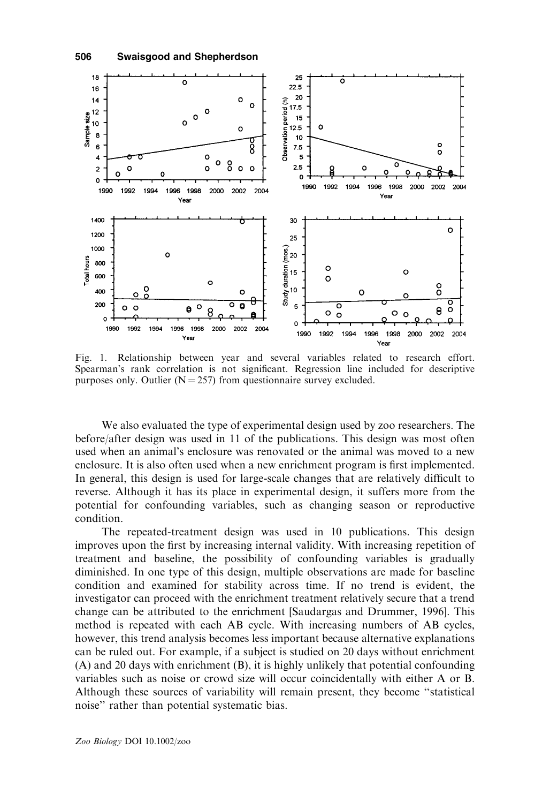

Fig. 1. Relationship between year and several variables related to research effort. Spearman's rank correlation is not significant. Regression line included for descriptive purposes only. Outlier ( $N = 257$ ) from questionnaire survey excluded.

We also evaluated the type of experimental design used by zoo researchers. The before/after design was used in 11 of the publications. This design was most often used when an animal's enclosure was renovated or the animal was moved to a new enclosure. It is also often used when a new enrichment program is first implemented. In general, this design is used for large-scale changes that are relatively difficult to reverse. Although it has its place in experimental design, it suffers more from the potential for confounding variables, such as changing season or reproductive condition.

The repeated-treatment design was used in 10 publications. This design improves upon the first by increasing internal validity. With increasing repetition of treatment and baseline, the possibility of confounding variables is gradually diminished. In one type of this design, multiple observations are made for baseline condition and examined for stability across time. If no trend is evident, the investigator can proceed with the enrichment treatment relatively secure that a trend change can be attributed to the enrichment [Saudargas and Drummer, 1996]. This method is repeated with each AB cycle. With increasing numbers of AB cycles, however, this trend analysis becomes less important because alternative explanations can be ruled out. For example, if a subject is studied on 20 days without enrichment (A) and 20 days with enrichment (B), it is highly unlikely that potential confounding variables such as noise or crowd size will occur coincidentally with either A or B. Although these sources of variability will remain present, they become ''statistical noise'' rather than potential systematic bias.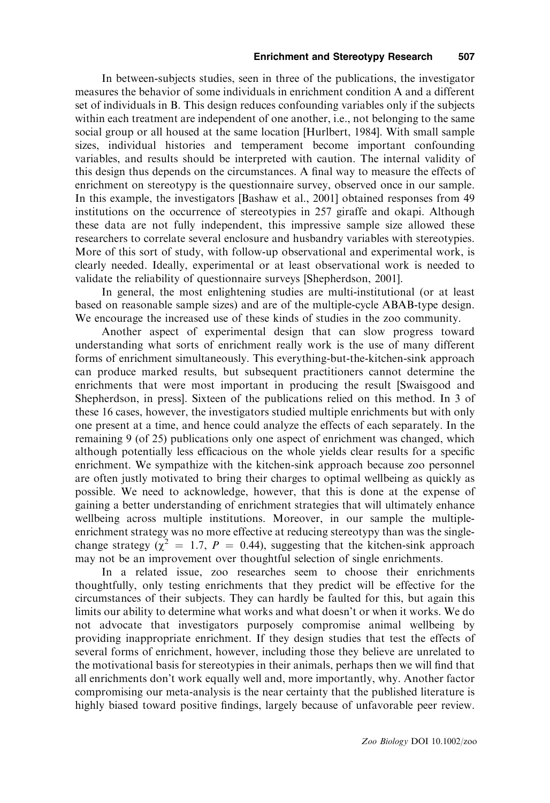In between-subjects studies, seen in three of the publications, the investigator measures the behavior of some individuals in enrichment condition A and a different set of individuals in B. This design reduces confounding variables only if the subjects within each treatment are independent of one another, i.e., not belonging to the same social group or all housed at the same location [Hurlbert, 1984]. With small sample sizes, individual histories and temperament become important confounding variables, and results should be interpreted with caution. The internal validity of this design thus depends on the circumstances. A final way to measure the effects of enrichment on stereotypy is the questionnaire survey, observed once in our sample. In this example, the investigators [Bashaw et al., 2001] obtained responses from 49 institutions on the occurrence of stereotypies in 257 giraffe and okapi. Although these data are not fully independent, this impressive sample size allowed these researchers to correlate several enclosure and husbandry variables with stereotypies. More of this sort of study, with follow-up observational and experimental work, is clearly needed. Ideally, experimental or at least observational work is needed to validate the reliability of questionnaire surveys [Shepherdson, 2001].

In general, the most enlightening studies are multi-institutional (or at least based on reasonable sample sizes) and are of the multiple-cycle ABAB-type design. We encourage the increased use of these kinds of studies in the zoo community.

Another aspect of experimental design that can slow progress toward understanding what sorts of enrichment really work is the use of many different forms of enrichment simultaneously. This everything-but-the-kitchen-sink approach can produce marked results, but subsequent practitioners cannot determine the enrichments that were most important in producing the result [Swaisgood and Shepherdson, in press]. Sixteen of the publications relied on this method. In 3 of these 16 cases, however, the investigators studied multiple enrichments but with only one present at a time, and hence could analyze the effects of each separately. In the remaining 9 (of 25) publications only one aspect of enrichment was changed, which although potentially less efficacious on the whole yields clear results for a specific enrichment. We sympathize with the kitchen-sink approach because zoo personnel are often justly motivated to bring their charges to optimal wellbeing as quickly as possible. We need to acknowledge, however, that this is done at the expense of gaining a better understanding of enrichment strategies that will ultimately enhance wellbeing across multiple institutions. Moreover, in our sample the multipleenrichment strategy was no more effective at reducing stereotypy than was the singlechange strategy ( $\chi^2$  = 1.7, P = 0.44), suggesting that the kitchen-sink approach may not be an improvement over thoughtful selection of single enrichments.

In a related issue, zoo researches seem to choose their enrichments thoughtfully, only testing enrichments that they predict will be effective for the circumstances of their subjects. They can hardly be faulted for this, but again this limits our ability to determine what works and what doesn't or when it works. We do not advocate that investigators purposely compromise animal wellbeing by providing inappropriate enrichment. If they design studies that test the effects of several forms of enrichment, however, including those they believe are unrelated to the motivational basis for stereotypies in their animals, perhaps then we will find that all enrichments don't work equally well and, more importantly, why. Another factor compromising our meta-analysis is the near certainty that the published literature is highly biased toward positive findings, largely because of unfavorable peer review.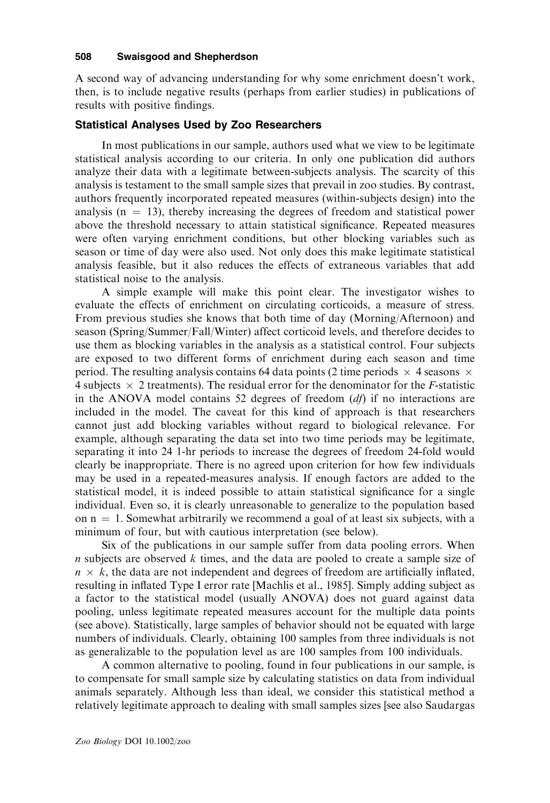A second way of advancing understanding for why some enrichment doesn't work, then, is to include negative results (perhaps from earlier studies) in publications of results with positive findings.

### Statistical Analyses Used by Zoo Researchers

In most publications in our sample, authors used what we view to be legitimate statistical analysis according to our criteria. In only one publication did authors analyze their data with a legitimate between-subjects analysis. The scarcity of this analysis is testament to the small sample sizes that prevail in zoo studies. By contrast, authors frequently incorporated repeated measures (within-subjects design) into the analysis ( $n = 13$ ), thereby increasing the degrees of freedom and statistical power above the threshold necessary to attain statistical significance. Repeated measures were often varying enrichment conditions, but other blocking variables such as season or time of day were also used. Not only does this make legitimate statistical analysis feasible, but it also reduces the effects of extraneous variables that add statistical noise to the analysis.

A simple example will make this point clear. The investigator wishes to evaluate the effects of enrichment on circulating corticoids, a measure of stress. From previous studies she knows that both time of day (Morning/Afternoon) and season (Spring/Summer/Fall/Winter) affect corticoid levels, and therefore decides to use them as blocking variables in the analysis as a statistical control. Four subjects are exposed to two different forms of enrichment during each season and time period. The resulting analysis contains 64 data points (2 time periods  $\times$  4 seasons  $\times$ 4 subjects  $\times$  2 treatments). The residual error for the denominator for the F-statistic in the ANOVA model contains 52 degrees of freedom  $(df)$  if no interactions are included in the model. The caveat for this kind of approach is that researchers cannot just add blocking variables without regard to biological relevance. For example, although separating the data set into two time periods may be legitimate, separating it into 24 1-hr periods to increase the degrees of freedom 24-fold would clearly be inappropriate. There is no agreed upon criterion for how few individuals may be used in a repeated-measures analysis. If enough factors are added to the statistical model, it is indeed possible to attain statistical significance for a single individual. Even so, it is clearly unreasonable to generalize to the population based on  $n = 1$ . Somewhat arbitrarily we recommend a goal of at least six subjects, with a minimum of four, but with cautious interpretation (see below).

Six of the publications in our sample suffer from data pooling errors. When  $n$  subjects are observed  $k$  times, and the data are pooled to create a sample size of  $n \times k$ , the data are not independent and degrees of freedom are artificially inflated, resulting in inflated Type I error rate [Machlis et al., 1985]. Simply adding subject as a factor to the statistical model (usually ANOVA) does not guard against data pooling, unless legitimate repeated measures account for the multiple data points (see above). Statistically, large samples of behavior should not be equated with large numbers of individuals. Clearly, obtaining 100 samples from three individuals is not as generalizable to the population level as are 100 samples from 100 individuals.

A common alternative to pooling, found in four publications in our sample, is to compensate for small sample size by calculating statistics on data from individual animals separately. Although less than ideal, we consider this statistical method a relatively legitimate approach to dealing with small samples sizes [see also Saudargas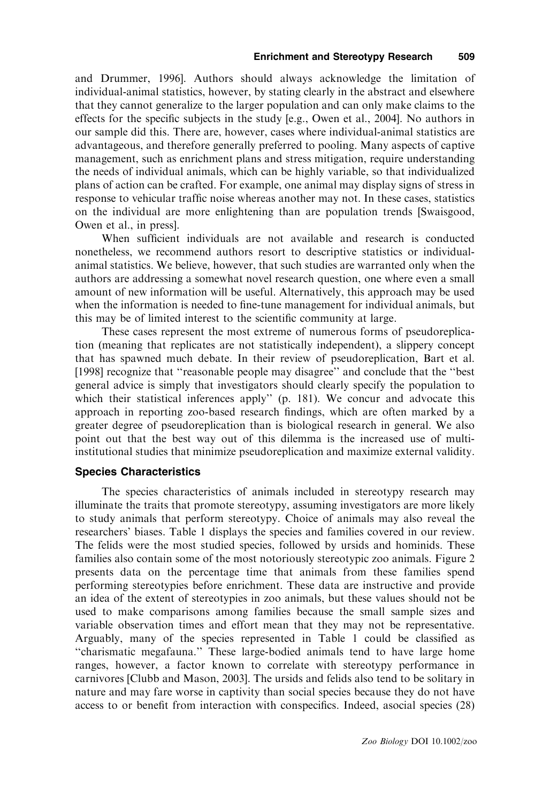and Drummer, 1996]. Authors should always acknowledge the limitation of individual-animal statistics, however, by stating clearly in the abstract and elsewhere that they cannot generalize to the larger population and can only make claims to the effects for the specific subjects in the study [e.g., Owen et al., 2004]. No authors in our sample did this. There are, however, cases where individual-animal statistics are advantageous, and therefore generally preferred to pooling. Many aspects of captive management, such as enrichment plans and stress mitigation, require understanding the needs of individual animals, which can be highly variable, so that individualized plans of action can be crafted. For example, one animal may display signs of stress in response to vehicular traffic noise whereas another may not. In these cases, statistics on the individual are more enlightening than are population trends [Swaisgood, Owen et al., in press].

When sufficient individuals are not available and research is conducted nonetheless, we recommend authors resort to descriptive statistics or individualanimal statistics. We believe, however, that such studies are warranted only when the authors are addressing a somewhat novel research question, one where even a small amount of new information will be useful. Alternatively, this approach may be used when the information is needed to fine-tune management for individual animals, but this may be of limited interest to the scientific community at large.

These cases represent the most extreme of numerous forms of pseudoreplication (meaning that replicates are not statistically independent), a slippery concept that has spawned much debate. In their review of pseudoreplication, Bart et al. [1998] recognize that ''reasonable people may disagree'' and conclude that the ''best general advice is simply that investigators should clearly specify the population to which their statistical inferences apply'' (p. 181). We concur and advocate this approach in reporting zoo-based research findings, which are often marked by a greater degree of pseudoreplication than is biological research in general. We also point out that the best way out of this dilemma is the increased use of multiinstitutional studies that minimize pseudoreplication and maximize external validity.

# Species Characteristics

The species characteristics of animals included in stereotypy research may illuminate the traits that promote stereotypy, assuming investigators are more likely to study animals that perform stereotypy. Choice of animals may also reveal the researchers' biases. Table 1 displays the species and families covered in our review. The felids were the most studied species, followed by ursids and hominids. These families also contain some of the most notoriously stereotypic zoo animals. Figure 2 presents data on the percentage time that animals from these families spend performing stereotypies before enrichment. These data are instructive and provide an idea of the extent of stereotypies in zoo animals, but these values should not be used to make comparisons among families because the small sample sizes and variable observation times and effort mean that they may not be representative. Arguably, many of the species represented in Table 1 could be classified as ''charismatic megafauna.'' These large-bodied animals tend to have large home ranges, however, a factor known to correlate with stereotypy performance in carnivores [Clubb and Mason, 2003]. The ursids and felids also tend to be solitary in nature and may fare worse in captivity than social species because they do not have access to or benefit from interaction with conspecifics. Indeed, asocial species (28)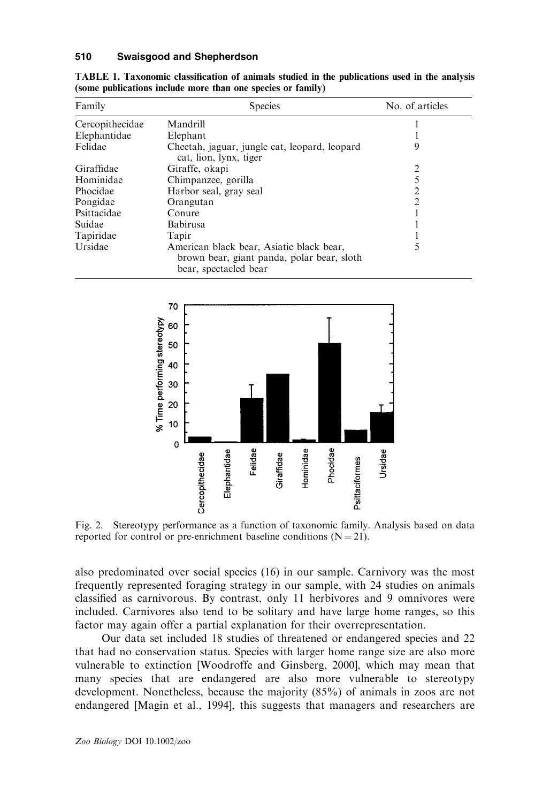| Family          | <b>Species</b>                                                                                                  | No. of articles |
|-----------------|-----------------------------------------------------------------------------------------------------------------|-----------------|
| Cercopithecidae | Mandrill                                                                                                        |                 |
| Elephantidae    | Elephant                                                                                                        |                 |
| Felidae         | Cheetah, jaguar, jungle cat, leopard, leopard<br>cat, lion, lynx, tiger                                         |                 |
| Giraffidae      | Giraffe, okapi                                                                                                  | 2               |
| Hominidae       | Chimpanzee, gorilla                                                                                             |                 |
| Phocidae        | Harbor seal, gray seal                                                                                          |                 |
| Pongidae        | Orangutan                                                                                                       | $\mathcal{D}$   |
| Psittacidae     | Conure                                                                                                          |                 |
| Suidae          | <b>Babirusa</b>                                                                                                 |                 |
| Tapiridae       | Tapir                                                                                                           |                 |
| Ursidae         | American black bear, Asiatic black bear,<br>brown bear, giant panda, polar bear, sloth<br>bear, spectacled bear | 5               |

TABLE 1. Taxonomic classification of animals studied in the publications used in the analysis (some publications include more than one species or family)



Fig. 2. Stereotypy performance as a function of taxonomic family. Analysis based on data reported for control or pre-enrichment baseline conditions  $(N = 21)$ .

also predominated over social species (16) in our sample. Carnivory was the most frequently represented foraging strategy in our sample, with 24 studies on animals classified as carnivorous. By contrast, only 11 herbivores and 9 omnivores were included. Carnivores also tend to be solitary and have large home ranges, so this factor may again offer a partial explanation for their overrepresentation.

Our data set included 18 studies of threatened or endangered species and 22 that had no conservation status. Species with larger home range size are also more vulnerable to extinction [Woodroffe and Ginsberg, 2000], which may mean that many species that are endangered are also more vulnerable to stereotypy development. Nonetheless, because the majority (85%) of animals in zoos are not endangered [Magin et al., 1994], this suggests that managers and researchers are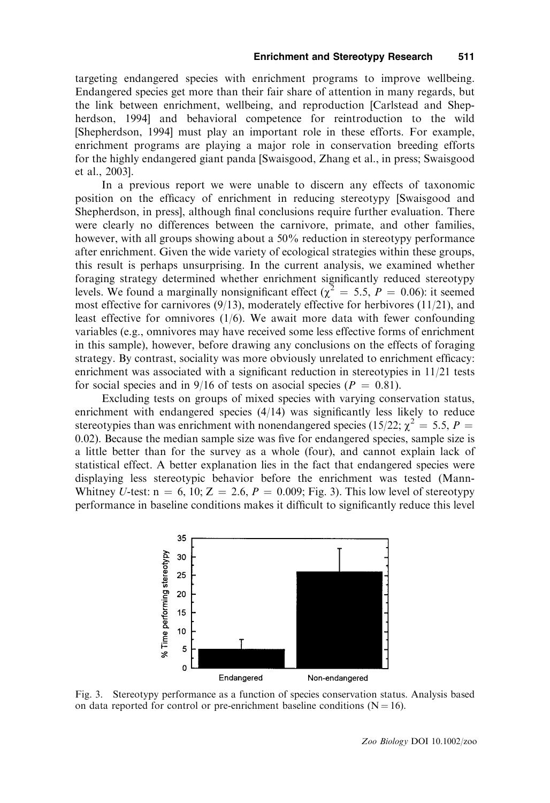targeting endangered species with enrichment programs to improve wellbeing. Endangered species get more than their fair share of attention in many regards, but the link between enrichment, wellbeing, and reproduction [Carlstead and Shepherdson, 1994] and behavioral competence for reintroduction to the wild [Shepherdson, 1994] must play an important role in these efforts. For example, enrichment programs are playing a major role in conservation breeding efforts for the highly endangered giant panda [Swaisgood, Zhang et al., in press; Swaisgood et al., 2003].

In a previous report we were unable to discern any effects of taxonomic position on the efficacy of enrichment in reducing stereotypy [Swaisgood and Shepherdson, in press], although final conclusions require further evaluation. There were clearly no differences between the carnivore, primate, and other families, however, with all groups showing about a 50% reduction in stereotypy performance after enrichment. Given the wide variety of ecological strategies within these groups, this result is perhaps unsurprising. In the current analysis, we examined whether foraging strategy determined whether enrichment significantly reduced stereotypy levels. We found a marginally nonsignificant effect ( $\chi^2 = 5.5$ ,  $P = 0.06$ ): it seemed most effective for carnivores  $(9/13)$ , moderately effective for herbivores  $(11/21)$ , and least effective for omnivores  $(1/6)$ . We await more data with fewer confounding variables (e.g., omnivores may have received some less effective forms of enrichment in this sample), however, before drawing any conclusions on the effects of foraging strategy. By contrast, sociality was more obviously unrelated to enrichment efficacy: enrichment was associated with a significant reduction in stereotypies in 11/21 tests for social species and in 9/16 of tests on asocial species ( $P = 0.81$ ).

Excluding tests on groups of mixed species with varying conservation status, enrichment with endangered species (4/14) was significantly less likely to reduce stereotypies than was enrichment with nonendangered species (15/22;  $\chi^2 = 5.5$ ,  $P =$ 0.02). Because the median sample size was five for endangered species, sample size is a little better than for the survey as a whole (four), and cannot explain lack of statistical effect. A better explanation lies in the fact that endangered species were displaying less stereotypic behavior before the enrichment was tested (Mann-Whitney U-test:  $n = 6, 10; Z = 2.6, P = 0.009; Fig. 3$ . This low level of stereotypy performance in baseline conditions makes it difficult to significantly reduce this level



Fig. 3. Stereotypy performance as a function of species conservation status. Analysis based on data reported for control or pre-enrichment baseline conditions ( $N = 16$ ).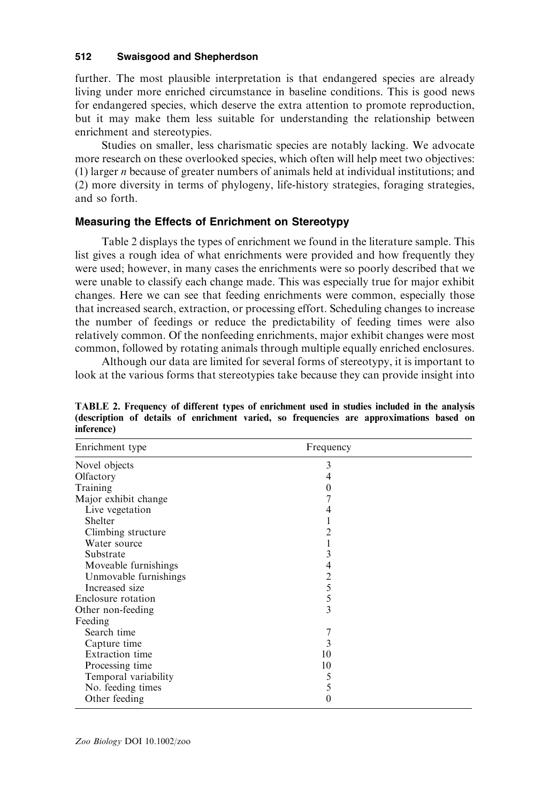further. The most plausible interpretation is that endangered species are already living under more enriched circumstance in baseline conditions. This is good news for endangered species, which deserve the extra attention to promote reproduction, but it may make them less suitable for understanding the relationship between enrichment and stereotypies.

Studies on smaller, less charismatic species are notably lacking. We advocate more research on these overlooked species, which often will help meet two objectives: (1) larger n because of greater numbers of animals held at individual institutions; and (2) more diversity in terms of phylogeny, life-history strategies, foraging strategies, and so forth.

# Measuring the Effects of Enrichment on Stereotypy

Table 2 displays the types of enrichment we found in the literature sample. This list gives a rough idea of what enrichments were provided and how frequently they were used; however, in many cases the enrichments were so poorly described that we were unable to classify each change made. This was especially true for major exhibit changes. Here we can see that feeding enrichments were common, especially those that increased search, extraction, or processing effort. Scheduling changes to increase the number of feedings or reduce the predictability of feeding times were also relatively common. Of the nonfeeding enrichments, major exhibit changes were most common, followed by rotating animals through multiple equally enriched enclosures.

Although our data are limited for several forms of stereotypy, it is important to look at the various forms that stereotypies take because they can provide insight into

TABLE 2. Frequency of different types of enrichment used in studies included in the analysis (description of details of enrichment varied, so frequencies are approximations based on inference)

| Enrichment type        | Frequency |
|------------------------|-----------|
| Novel objects          | 3         |
| Olfactory              |           |
| Training               |           |
| Major exhibit change   |           |
| Live vegetation        |           |
| Shelter                |           |
| Climbing structure     |           |
| Water source           |           |
| Substrate              |           |
| Moveable furnishings   | 4         |
| Unmovable furnishings  | 2         |
| Increased size         | 5         |
| Enclosure rotation     | 5         |
| Other non-feeding      | 3         |
| Feeding                |           |
| Search time            |           |
| Capture time           |           |
| <b>Extraction</b> time | 10        |
| Processing time        | 10        |
| Temporal variability   |           |
| No. feeding times      | 5         |
| Other feeding          | 0         |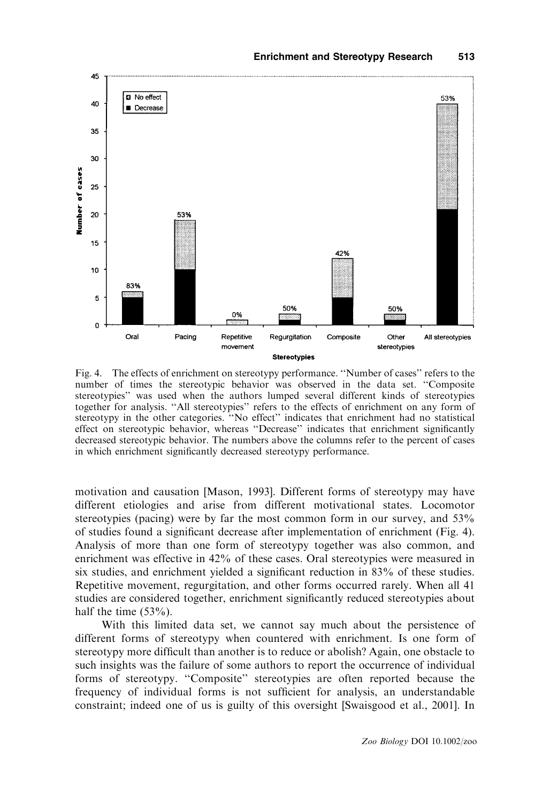

Fig. 4. The effects of enrichment on stereotypy performance. ''Number of cases'' refers to the number of times the stereotypic behavior was observed in the data set. ''Composite stereotypies'' was used when the authors lumped several different kinds of stereotypies together for analysis. ''All stereotypies'' refers to the effects of enrichment on any form of stereotypy in the other categories. ''No effect'' indicates that enrichment had no statistical effect on stereotypic behavior, whereas ''Decrease'' indicates that enrichment significantly decreased stereotypic behavior. The numbers above the columns refer to the percent of cases in which enrichment significantly decreased stereotypy performance.

motivation and causation [Mason, 1993]. Different forms of stereotypy may have different etiologies and arise from different motivational states. Locomotor stereotypies (pacing) were by far the most common form in our survey, and 53% of studies found a significant decrease after implementation of enrichment (Fig. 4). Analysis of more than one form of stereotypy together was also common, and enrichment was effective in 42% of these cases. Oral stereotypies were measured in six studies, and enrichment yielded a significant reduction in 83% of these studies. Repetitive movement, regurgitation, and other forms occurred rarely. When all 41 studies are considered together, enrichment significantly reduced stereotypies about half the time (53%).

With this limited data set, we cannot say much about the persistence of different forms of stereotypy when countered with enrichment. Is one form of stereotypy more difficult than another is to reduce or abolish? Again, one obstacle to such insights was the failure of some authors to report the occurrence of individual forms of stereotypy. ''Composite'' stereotypies are often reported because the frequency of individual forms is not sufficient for analysis, an understandable constraint; indeed one of us is guilty of this oversight [Swaisgood et al., 2001]. In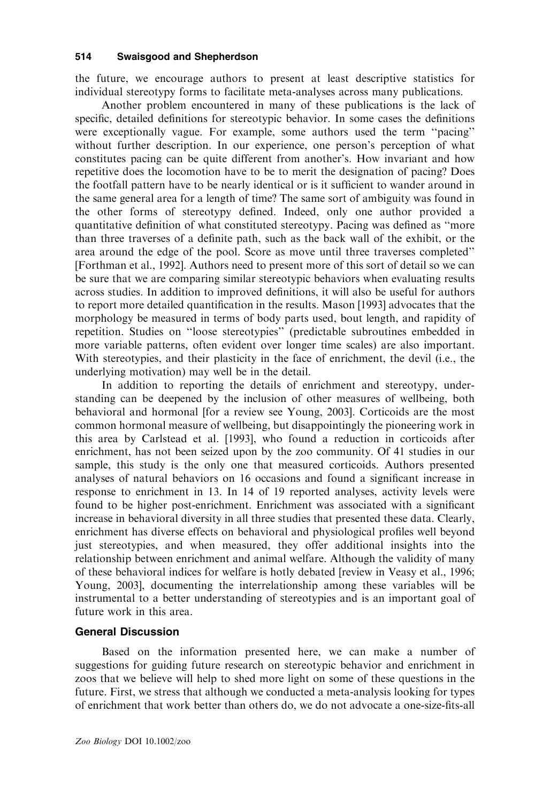the future, we encourage authors to present at least descriptive statistics for individual stereotypy forms to facilitate meta-analyses across many publications.

Another problem encountered in many of these publications is the lack of specific, detailed definitions for stereotypic behavior. In some cases the definitions were exceptionally vague. For example, some authors used the term ''pacing'' without further description. In our experience, one person's perception of what constitutes pacing can be quite different from another's. How invariant and how repetitive does the locomotion have to be to merit the designation of pacing? Does the footfall pattern have to be nearly identical or is it sufficient to wander around in the same general area for a length of time? The same sort of ambiguity was found in the other forms of stereotypy defined. Indeed, only one author provided a quantitative definition of what constituted stereotypy. Pacing was defined as ''more than three traverses of a definite path, such as the back wall of the exhibit, or the area around the edge of the pool. Score as move until three traverses completed'' [Forthman et al., 1992]. Authors need to present more of this sort of detail so we can be sure that we are comparing similar stereotypic behaviors when evaluating results across studies. In addition to improved definitions, it will also be useful for authors to report more detailed quantification in the results. Mason [1993] advocates that the morphology be measured in terms of body parts used, bout length, and rapidity of repetition. Studies on ''loose stereotypies'' (predictable subroutines embedded in more variable patterns, often evident over longer time scales) are also important. With stereotypies, and their plasticity in the face of enrichment, the devil (i.e., the underlying motivation) may well be in the detail.

In addition to reporting the details of enrichment and stereotypy, understanding can be deepened by the inclusion of other measures of wellbeing, both behavioral and hormonal [for a review see Young, 2003]. Corticoids are the most common hormonal measure of wellbeing, but disappointingly the pioneering work in this area by Carlstead et al. [1993], who found a reduction in corticoids after enrichment, has not been seized upon by the zoo community. Of 41 studies in our sample, this study is the only one that measured corticoids. Authors presented analyses of natural behaviors on 16 occasions and found a significant increase in response to enrichment in 13. In 14 of 19 reported analyses, activity levels were found to be higher post-enrichment. Enrichment was associated with a significant increase in behavioral diversity in all three studies that presented these data. Clearly, enrichment has diverse effects on behavioral and physiological profiles well beyond just stereotypies, and when measured, they offer additional insights into the relationship between enrichment and animal welfare. Although the validity of many of these behavioral indices for welfare is hotly debated [review in Veasy et al., 1996; Young, 2003], documenting the interrelationship among these variables will be instrumental to a better understanding of stereotypies and is an important goal of future work in this area.

# General Discussion

Based on the information presented here, we can make a number of suggestions for guiding future research on stereotypic behavior and enrichment in zoos that we believe will help to shed more light on some of these questions in the future. First, we stress that although we conducted a meta-analysis looking for types of enrichment that work better than others do, we do not advocate a one-size-fits-all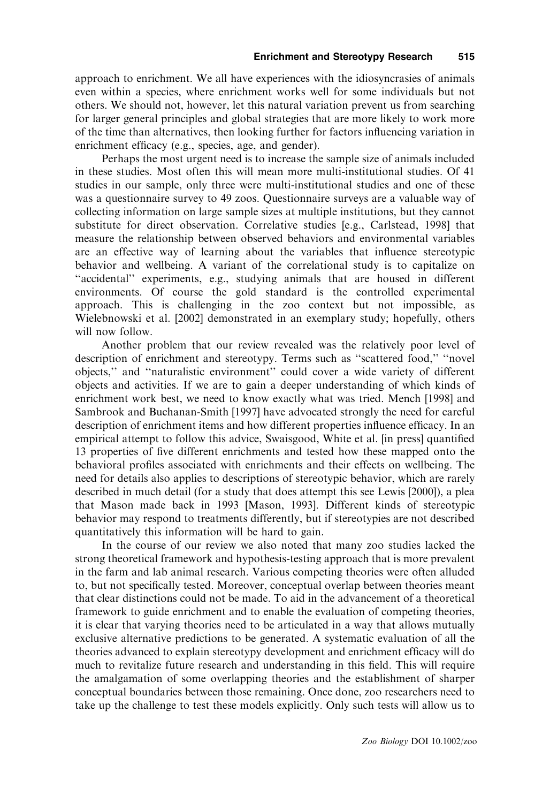approach to enrichment. We all have experiences with the idiosyncrasies of animals even within a species, where enrichment works well for some individuals but not others. We should not, however, let this natural variation prevent us from searching for larger general principles and global strategies that are more likely to work more of the time than alternatives, then looking further for factors influencing variation in enrichment efficacy (e.g., species, age, and gender).

Perhaps the most urgent need is to increase the sample size of animals included in these studies. Most often this will mean more multi-institutional studies. Of 41 studies in our sample, only three were multi-institutional studies and one of these was a questionnaire survey to 49 zoos. Questionnaire surveys are a valuable way of collecting information on large sample sizes at multiple institutions, but they cannot substitute for direct observation. Correlative studies [e.g., Carlstead, 1998] that measure the relationship between observed behaviors and environmental variables are an effective way of learning about the variables that influence stereotypic behavior and wellbeing. A variant of the correlational study is to capitalize on ''accidental'' experiments, e.g., studying animals that are housed in different environments. Of course the gold standard is the controlled experimental approach. This is challenging in the zoo context but not impossible, as Wielebnowski et al. [2002] demonstrated in an exemplary study; hopefully, others will now follow.

Another problem that our review revealed was the relatively poor level of description of enrichment and stereotypy. Terms such as ''scattered food,'' ''novel objects,'' and ''naturalistic environment'' could cover a wide variety of different objects and activities. If we are to gain a deeper understanding of which kinds of enrichment work best, we need to know exactly what was tried. Mench [1998] and Sambrook and Buchanan-Smith [1997] have advocated strongly the need for careful description of enrichment items and how different properties influence efficacy. In an empirical attempt to follow this advice, Swaisgood, White et al. [in press] quantified 13 properties of five different enrichments and tested how these mapped onto the behavioral profiles associated with enrichments and their effects on wellbeing. The need for details also applies to descriptions of stereotypic behavior, which are rarely described in much detail (for a study that does attempt this see Lewis [2000]), a plea that Mason made back in 1993 [Mason, 1993]. Different kinds of stereotypic behavior may respond to treatments differently, but if stereotypies are not described quantitatively this information will be hard to gain.

In the course of our review we also noted that many zoo studies lacked the strong theoretical framework and hypothesis-testing approach that is more prevalent in the farm and lab animal research. Various competing theories were often alluded to, but not specifically tested. Moreover, conceptual overlap between theories meant that clear distinctions could not be made. To aid in the advancement of a theoretical framework to guide enrichment and to enable the evaluation of competing theories, it is clear that varying theories need to be articulated in a way that allows mutually exclusive alternative predictions to be generated. A systematic evaluation of all the theories advanced to explain stereotypy development and enrichment efficacy will do much to revitalize future research and understanding in this field. This will require the amalgamation of some overlapping theories and the establishment of sharper conceptual boundaries between those remaining. Once done, zoo researchers need to take up the challenge to test these models explicitly. Only such tests will allow us to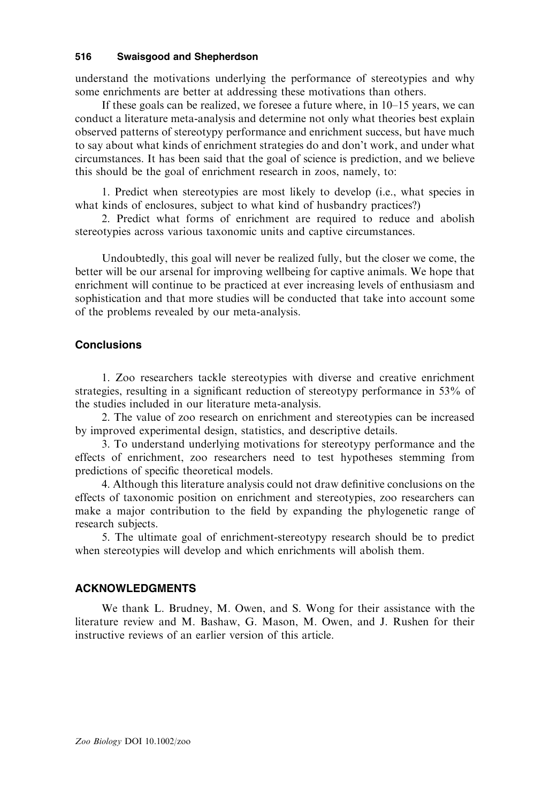understand the motivations underlying the performance of stereotypies and why some enrichments are better at addressing these motivations than others.

If these goals can be realized, we foresee a future where, in 10–15 years, we can conduct a literature meta-analysis and determine not only what theories best explain observed patterns of stereotypy performance and enrichment success, but have much to say about what kinds of enrichment strategies do and don't work, and under what circumstances. It has been said that the goal of science is prediction, and we believe this should be the goal of enrichment research in zoos, namely, to:

1. Predict when stereotypies are most likely to develop (i.e., what species in what kinds of enclosures, subject to what kind of husbandry practices?)

2. Predict what forms of enrichment are required to reduce and abolish stereotypies across various taxonomic units and captive circumstances.

Undoubtedly, this goal will never be realized fully, but the closer we come, the better will be our arsenal for improving wellbeing for captive animals. We hope that enrichment will continue to be practiced at ever increasing levels of enthusiasm and sophistication and that more studies will be conducted that take into account some of the problems revealed by our meta-analysis.

# **Conclusions**

1. Zoo researchers tackle stereotypies with diverse and creative enrichment strategies, resulting in a significant reduction of stereotypy performance in 53% of the studies included in our literature meta-analysis.

2. The value of zoo research on enrichment and stereotypies can be increased by improved experimental design, statistics, and descriptive details.

3. To understand underlying motivations for stereotypy performance and the effects of enrichment, zoo researchers need to test hypotheses stemming from predictions of specific theoretical models.

4. Although this literature analysis could not draw definitive conclusions on the effects of taxonomic position on enrichment and stereotypies, zoo researchers can make a major contribution to the field by expanding the phylogenetic range of research subjects.

5. The ultimate goal of enrichment-stereotypy research should be to predict when stereotypies will develop and which enrichments will abolish them.

# ACKNOWLEDGMENTS

We thank L. Brudney, M. Owen, and S. Wong for their assistance with the literature review and M. Bashaw, G. Mason, M. Owen, and J. Rushen for their instructive reviews of an earlier version of this article.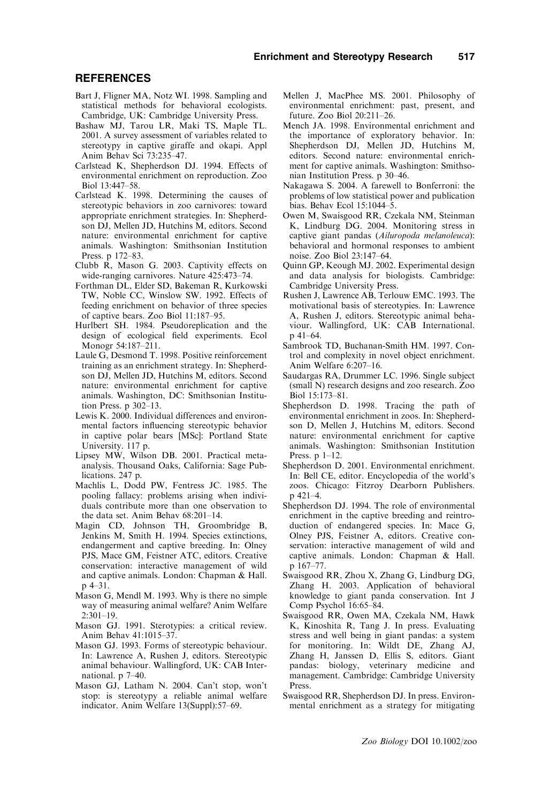#### **REFERENCES**

- Bart J, Fligner MA, Notz WI. 1998. Sampling and statistical methods for behavioral ecologists. Cambridge, UK: Cambridge University Press.
- Bashaw MJ, Tarou LR, Maki TS, Maple TL. 2001. A survey assessment of variables related to stereotypy in captive giraffe and okapi. Appl Anim Behav Sci 73:235–47.
- Carlstead K, Shepherdson DJ. 1994. Effects of environmental enrichment on reproduction. Zoo Biol 13:447–58.
- Carlstead K. 1998. Determining the causes of stereotypic behaviors in zoo carnivores: toward appropriate enrichment strategies. In: Shepherdson DJ, Mellen JD, Hutchins M, editors. Second nature: environmental enrichment for captive animals. Washington: Smithsonian Institution Press. p 172–83.
- Clubb R, Mason G. 2003. Captivity effects on wide-ranging carnivores. Nature 425:473–74.
- Forthman DL, Elder SD, Bakeman R, Kurkowski TW, Noble CC, Winslow SW. 1992. Effects of feeding enrichment on behavior of three species of captive bears. Zoo Biol 11:187–95.
- Hurlbert SH. 1984. Pseudoreplication and the design of ecological field experiments. Ecol Monogr 54:187–211.
- Laule G, Desmond T. 1998. Positive reinforcement training as an enrichment strategy. In: Shepherdson DJ, Mellen JD, Hutchins M, editors. Second nature: environmental enrichment for captive animals. Washington, DC: Smithsonian Institution Press. p 302–13.
- Lewis K. 2000. Individual differences and environmental factors influencing stereotypic behavior in captive polar bears [MSc]: Portland State University. 117 p.
- Lipsey MW, Wilson DB. 2001. Practical metaanalysis. Thousand Oaks, California: Sage Publications. 247 p.
- Machlis L, Dodd PW, Fentress JC. 1985. The pooling fallacy: problems arising when individuals contribute more than one observation to the data set. Anim Behav 68:201–14.
- Magin CD, Johnson TH, Groombridge B, Jenkins M, Smith H. 1994. Species extinctions, endangerment and captive breeding. In: Olney PJS, Mace GM, Feistner ATC, editors. Creative conservation: interactive management of wild and captive animals. London: Chapman & Hall. p 4–31.
- Mason G, Mendl M. 1993. Why is there no simple way of measuring animal welfare? Anim Welfare 2:301–19.
- Mason GJ. 1991. Sterotypies: a critical review. Anim Behav 41:1015–37.
- Mason GJ. 1993. Forms of stereotypic behaviour. In: Lawrence A, Rushen J, editors. Stereotypic animal behaviour. Wallingford, UK: CAB International. p 7–40.
- Mason GJ, Latham N. 2004. Can't stop, won't stop: is stereotypy a reliable animal welfare indicator. Anim Welfare 13(Suppl):57–69.
- Mellen J, MacPhee MS. 2001. Philosophy of environmental enrichment: past, present, and future. Zoo Biol 20:211–26.
- Mench JA. 1998. Environmental enrichment and the importance of exploratory behavior. In: Shepherdson DJ, Mellen JD, Hutchins M, editors. Second nature: environmental enrichment for captive animals. Washington: Smithsonian Institution Press. p 30–46.
- Nakagawa S. 2004. A farewell to Bonferroni: the problems of low statistical power and publication bias. Behav Ecol 15:1044–5.
- Owen M, Swaisgood RR, Czekala NM, Steinman K, Lindburg DG. 2004. Monitoring stress in captive giant pandas (Ailuropoda melanoleuca): behavioral and hormonal responses to ambient noise. Zoo Biol 23:147–64.
- Quinn GP, Keough MJ. 2002. Experimental design and data analysis for biologists. Cambridge: Cambridge University Press.
- Rushen J, Lawrence AB, Terlouw EMC. 1993. The motivational basis of stereotypies. In: Lawrence A, Rushen J, editors. Stereotypic animal behaviour. Wallingford, UK: CAB International. p 41–64.
- Sambrook TD, Buchanan-Smith HM. 1997. Control and complexity in novel object enrichment. Anim Welfare 6:207–16.
- Saudargas RA, Drummer LC. 1996. Single subject (small N) research designs and zoo research. Zoo Biol 15:173–81.
- Shepherdson D. 1998. Tracing the path of environmental enrichment in zoos. In: Shepherdson D, Mellen J, Hutchins M, editors. Second nature: environmental enrichment for captive animals. Washington: Smithsonian Institution Press. p 1–12.
- Shepherdson D. 2001. Environmental enrichment. In: Bell CE, editor. Encyclopedia of the world's zoos. Chicago: Fitzroy Dearborn Publishers. p 421–4.
- Shepherdson DJ. 1994. The role of environmental enrichment in the captive breeding and reintroduction of endangered species. In: Mace G, Olney PJS, Feistner A, editors. Creative conservation: interactive management of wild and captive animals. London: Chapman & Hall. p 167–77.
- Swaisgood RR, Zhou X, Zhang G, Lindburg DG, Zhang H. 2003. Application of behavioral knowledge to giant panda conservation. Int J Comp Psychol 16:65–84.
- Swaisgood RR, Owen MA, Czekala NM, Hawk K, Kinoshita R, Tang J. In press. Evaluating stress and well being in giant pandas: a system for monitoring. In: Wildt DE, Zhang AJ, Zhang H, Janssen D, Ellis S, editors. Giant pandas: biology, veterinary medicine and management. Cambridge: Cambridge University Press.
- Swaisgood RR, Shepherdson DJ. In press. Environmental enrichment as a strategy for mitigating